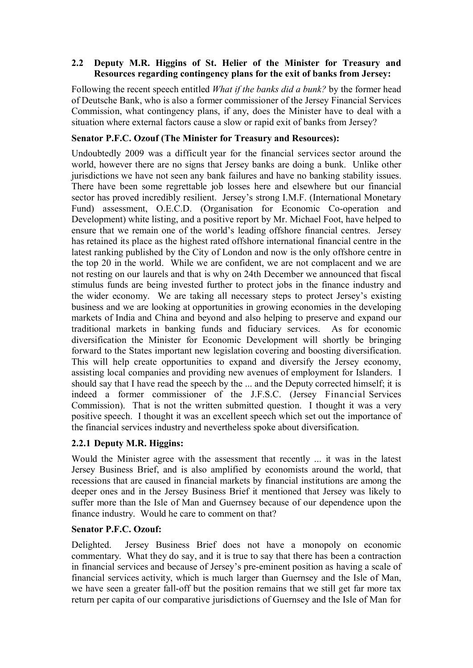#### **2.2** � **Deputy M.R. Higgins of St. Helier of the Minister for Treasury and Resources regarding contingency plans for the exit of banks from Jersey:**

Following the recent speech entitled *What if the banks did a bunk?* by the former head of Deutsche Bank, who is also a former commissioner of the Jersey Financial Services Commission, what contingency plans, if any, does the Minister have to deal with a situation where external factors cause a slow or rapid exit of banks from Jersey?

#### **Senator P.F.C. Ozouf (The Minister for Treasury and Resources):**

Undoubtedly 2009 was a difficult year for the financial services sector around the world, however there are no signs that Jersey banks are doing a bunk. Unlike other jurisdictions we have not seen any bank failures and have no banking stability issues. There have been some regrettable job losses here and elsewhere but our financial sector has proved incredibly resilient. Jersey's strong I.M.F. (International Monetary Fund) assessment, O.E.C.D. (Organisation for Economic Co-operation and Development) white listing, and a positive report by Mr. Michael Foot, have helped to ensure that we remain one of the world's leading offshore financial centres. Jersey has retained its place as the highest rated offshore international financial centre in the latest ranking published by the City of London and now is the only offshore centre in the top 20 in the world. While we are confident, we are not complacent and we are not resting on our laurels and that is why on 24th December we announced that fiscal stimulus funds are being invested further to protect jobs in the finance industry and the wider economy. We are taking all necessary steps to protect Jersey's existing business and we are looking at opportunities in growing economies in the developing markets of India and China and beyond and also helping to preserve and expand our traditional markets in banking funds and fiduciary services. As for economic diversification the Minister for Economic Development will shortly be bringing forward to the States important new legislation covering and boosting diversification. This will help create opportunities to expand and diversify the Jersey economy, assisting local companies and providing new avenues of employment for Islanders. I should say that I have read the speech by the ... and the Deputy corrected himself; it is indeed a former commissioner of the J.F.S.C. (Jersey Financial Services Commission). That is not the written submitted question. I thought it was a very positive speech. I thought it was an excellent speech which set out the importance of the financial services industry and nevertheless spoke about diversification.

### **2.2.1 Deputy M.R. Higgins:**

Would the Minister agree with the assessment that recently ... it was in the latest Jersey Business Brief, and is also amplified by economists around the world, that recessions that are caused in financial markets by financial institutions are among the deeper ones and in the Jersey Business Brief it mentioned that Jersey was likely to suffer more than the Isle of Man and Guernsey because of our dependence upon the finance industry. Would he care to comment on that?

### **Senator P.F.C. Ozouf:**

Delighted. Jersey Business Brief does not have a monopoly on economic commentary. What they do say, and it is true to say that there has been a contraction in financial services and because of Jersey's pre-eminent position as having a scale of financial services activity, which is much larger than Guernsey and the Isle of Man, we have seen a greater fall-off but the position remains that we still get far more tax return per capita of our comparative jurisdictions of Guernsey and the Isle of Man for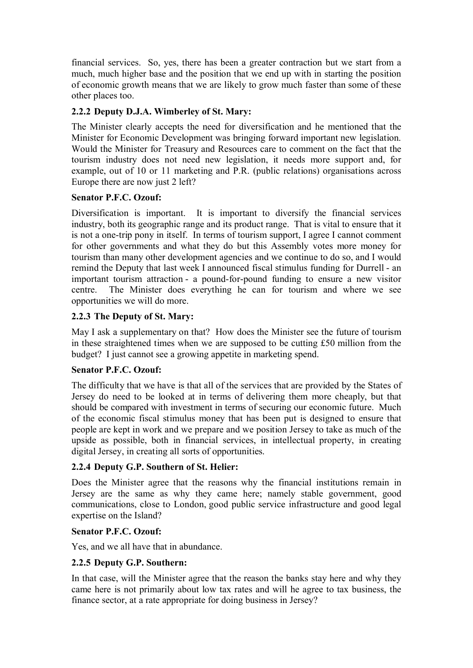financial services. So, yes, there has been a greater contraction but we start from a much, much higher base and the position that we end up with in starting the position of economic growth means that we are likely to grow much faster than some of these other places too.

# **2.2.2 Deputy D.J.A. Wimberley of St. Mary:**

Minister for Economic Development was bringing forward important new legislation. The Minister clearly accepts the need for diversification and he mentioned that the Would the Minister for Treasury and Resources care to comment on the fact that the tourism industry does not need new legislation, it needs more support and, for example, out of 10 or 11 marketing and P.R. (public relations) organisations across Europe there are now just 2 left?

### **Senator P.F.C. Ozouf:**

Diversification is important. It is important to diversify the financial services industry, both its geographic range and its product range. That is vital to ensure that it is not a one-trip pony in itself. In terms of tourism support, I agree I cannot comment for other governments and what they do but this Assembly votes more money for tourism than many other development agencies and we continue to do so, and I would remind the Deputy that last week I announced fiscal stimulus funding for Durrell - an important tourism attraction - a pound-for-pound funding to ensure a new visitor centre. The Minister does everything he can for tourism and where we see opportunities we will do more.

# **2.2.3 The Deputy of St. Mary:**

May I ask a supplementary on that? How does the Minister see the future of tourism in these straightened times when we are supposed to be cutting £50 million from the budget? I just cannot see a growing appetite in marketing spend.

### **Senator P.F.C. Ozouf:**

The difficulty that we have is that all of the services that are provided by the States of Jersey do need to be looked at in terms of delivering them more cheaply, but that should be compared with investment in terms of securing our economic future. Much of the economic fiscal stimulus money that has been put is designed to ensure that people are kept in work and we prepare and we position Jersey to take as much of the upside as possible, both in financial services, in intellectual property, in creating digital Jersey, in creating all sorts of opportunities.

### **2.2.4 Deputy G.P. Southern of St. Helier:**

Does the Minister agree that the reasons why the financial institutions remain in Jersey are the same as why they came here; namely stable government, good communications, close to London, good public service infrastructure and good legal expertise on the Island?

### **Senator P.F.C. Ozouf:**

Yes, and we all have that in abundance.

### **2.2.5 Deputy G.P. Southern:**

In that case, will the Minister agree that the reason the banks stay here and why they came here is not primarily about low tax rates and will he agree to tax business, the finance sector, at a rate appropriate for doing business in Jersey?